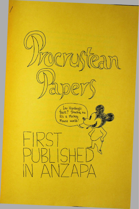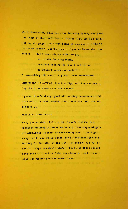**Well, here It is, deadline time looming again, and gosh <sup>I</sup> m short of time and ideas as usuall How am <sup>I</sup> going to fill my six pages and avoid being thrown out of ANZAPA this time round? Don't stop me if you've heard that one before — "for <sup>I</sup> have ninety miles to go,**

> **across the frothing main, and then there's thirteen blocks or so to where <sup>I</sup> catch the train!"**

**Or something like that. <sup>A</sup> poem <sup>I</sup> read somewhere.**

**MUSIC NOW PLAYING: Jim Jim Zipp and The Fasteners, "By the Time <sup>I</sup> Get to Hawthorndene:**

**<sup>I</sup> guess there's always good ol' mailing comments to fall back on, so without further ado, tarantaral and low and beholed. . .**

## **MAILING COMMENTS**

**Hey, you wouldn't believe it! <sup>I</sup> can't find the last fabulous mailing (or issue ws we say these days) of good ol' ANZAPA1! It must be here someplace. Don't go away, will you, while <sup>I</sup> just spend <sup>a</sup> few lines (ha ha) looking for it. Oh, by the way, Ive (damn) run out of corflu. Hope you don't min'd. That : up there should have been <sup>a</sup> ", and 'ws' shd have been as, and - oh, what's it matter you can wrok it out.**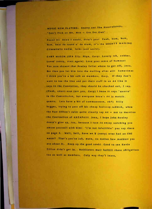**MUSIC NOW PLAYING: Snotty and The Nose t wist er s. "Don't Pick on Me, Mao — Use Yer Own**

**Found it! Knew <sup>I</sup> would, didn'<sup>t</sup> you! Yeah, bum, bum, bum, hear da sound o' da drum, it'<sup>s</sup> the MIGHTY MAILING COMMENTS SHOW, folks (and world):**

**GARY MASON (SFA 21); Hiya, Gary! Lovely fsh, cobber. Love^ (sorry, start again) Love your sense of humour! You sure showed that Rowley feller where to get off, jeez. But then you let him into the mailing after all! Sometimes <sup>I</sup> think you're <sup>a</sup> bit soft on members, Gary. If they don't want to toe the line and put their stuff in on A4 like it says in the Constution, they should be chuched out, <sup>I</sup> say. (Yeah, imart-arie (not you, Gary) <sup>I</sup> know it says "quarto' in the Contstituion, but everyone know's A4 is metric quarto. Lets have <sup>a</sup> bit of commonsense, eh?) Silly bugger, trying to pass off his cheap foolscap rubbish, when the Post Office's rules quite clearly say A4 — not to mention rhe Coitinuiton of ANZAPAH! Jeez, <sup>I</sup> hope John Rowley doesn't give up, too, because <sup>I</sup> sure do enjoy watching you amuse yourself with him! "I'<sup>m</sup> not infallible" you say there on page 3. Well, hell, have we 1/ (sorry.) wver had an OBE wasnt? That <sup>s</sup> you're job, mate, no matter how moddest you are about it. Keep up the good rowk! Good to see Kevin Dillon didn't get in. Waitlisters must fulfilll there obligations too as well as members. Only way they'l learn.**

x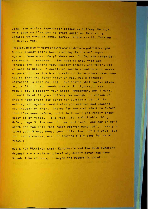Jeez, the office typerwlter packed up halfway through this page so I've got to start again on this silly potable we have at home, sorry. Where was I! Talking to Garry, yes.

Ime glad you di dn 't waste an extra page on whatswrong wlththlsstupl <sup>d</sup> Sorry, bloody cat's been sleeping In the ol' typer again. Gone now. Gary? Where was <sup>17</sup> Oh, the flnaclal statement, <sup>I</sup> remember. Its good to know that our flnaces are looking Very Healthy Indeed, and that's all we need to know. <sup>A</sup> couple of people round here no names no packdrill as the bishop said to the acttress have been saying that the Sonstititution requires a finacial statement In each mailing - but that's what you've given us, Isn't It! Who needs dreary old figures, <sup>I</sup> say. Wish <sup>I</sup> could support your Cnstnl Amendment, but <sup>I</sup> cant. I don't think it goes halfway far enough. I reckon we should keep stuff published for outsiders out of the mailing alltogether and <sup>I</sup> wish you and Lee and Leeanne had thought of that. Theres far too much stuff In ANZAPA that I've seen before, and <sup>I</sup> tell you <sup>I</sup> get really snaky about It at times. Take that lllo In Ortlleb's thing Gn'el, page 3: Ive seen it over and over. And how on erht earth can you call that "self-written material", I ask you. Loved your Mickey Mouse cover this time, but <sup>I</sup> always love your funny covers, even If they're <sup>a</sup> bit deep for me at times ! !

MUSIC NOW PLAYING: Kyril Kondrashln and the USSR Symphony Orchestra - something classical, didn't catch the name. Sounds like cannons, or maybe the record Is crook.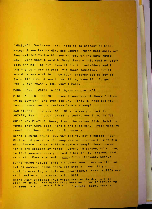BANGSUNDS (SocEdsNwsItr): Nothing to comment on here, except I see Lee Harding and George Truner mentioned, are they related to the bigname writers of the same name? Don't mind what I sald to Gary there - this sort of stuff pads the mailing out, even if its for outsiders and I don't understand it what It's about sometimes, but It would be wasteful to throw your leftover coples out so I guess its nice of you to put it in, even if it's not really for ANZAPA, know what I mean?

MARK FRASER (Werdi Tales): Agree re quato/A4.

MIKE O'BRIEN (TSFC&N): Haven't seen any of those fillums so no comment, and dont see why I should, When did you last comment on Procrustean Papers anyway!

JAN FINDER (11 Wombat 8): Nice to see you back in ANZAPA, Jan!!! Look forwad to seelng you in Oz in 75! MUSIC NOW PLAYING: Henry J and the Kaiser Stuhl Redwinds, "Bung that Cork back, Here's the Fiftles". Still getting cannon in there. Must be the record.

DENNY & JOYCE (Murg 10): Why did you buy a baseball bat? What would you do with cheap reproductive methods to fix RSN disease? What is RSN disease anyway? Jeez, youse Yanks are obscure at times. Lovely in person, of course, In fact someone says you remind him of Paul Stevens (yuk) (sorry). Does she remind you of Paul Stevens, Denny?

LEANE FRAMM (Siydallovia 4): Loved your piece on fishing, but no comment hooks there Ime afraid. Why did you cut that interesting article on accountancy? After ANZAPA and sf I reckon accountancy is the most

Damn! Just realized I've typed this whole damn stencil upsdide down. Why don't they have an arrow or something on them to show you which end is which? Sorry folks!!!!